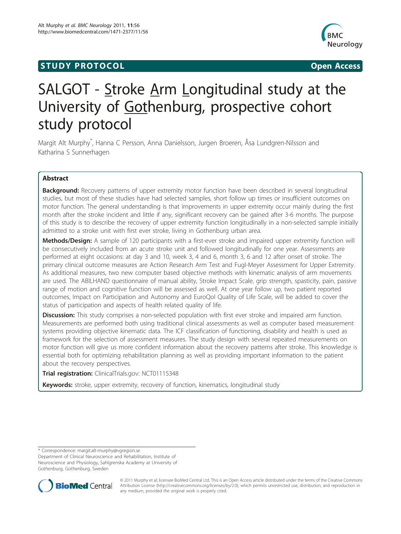# **STUDY PROTOCOL** CONTROL CONTROL CONTROL CONTROL CONTROL CONTROL CONTROL CONTROL CONTROL CONTROL CONTROL CONTROL CONTROL CONTROL CONTROL CONTROL CONTROL CONTROL CONTROL CONTROL CONTROL CONTROL CONTROL CONTROL CONTROL CONTR



# SALGOT - Stroke Arm Longitudinal study at the University of Gothenburg, prospective cohort study protocol

Margit Alt Murphy\* , Hanna C Persson, Anna Danielsson, Jurgen Broeren, Åsa Lundgren-Nilsson and Katharina S Sunnerhagen

# Abstract

**Background:** Recovery patterns of upper extremity motor function have been described in several longitudinal studies, but most of these studies have had selected samples, short follow up times or insufficient outcomes on motor function. The general understanding is that improvements in upper extremity occur mainly during the first month after the stroke incident and little if any, significant recovery can be gained after 3-6 months. The purpose of this study is to describe the recovery of upper extremity function longitudinally in a non-selected sample initially admitted to a stroke unit with first ever stroke, living in Gothenburg urban area.

Methods/Design: A sample of 120 participants with a first-ever stroke and impaired upper extremity function will be consecutively included from an acute stroke unit and followed longitudinally for one year. Assessments are performed at eight occasions: at day 3 and 10, week 3, 4 and 6, month 3, 6 and 12 after onset of stroke. The primary clinical outcome measures are Action Research Arm Test and Fugl-Meyer Assessment for Upper Extremity. As additional measures, two new computer based objective methods with kinematic analysis of arm movements are used. The ABILHAND questionnaire of manual ability, Stroke Impact Scale, grip strength, spasticity, pain, passive range of motion and cognitive function will be assessed as well. At one year follow up, two patient reported outcomes, Impact on Participation and Autonomy and EuroQol Quality of Life Scale, will be added to cover the status of participation and aspects of health related quality of life.

**Discussion:** This study comprises a non-selected population with first ever stroke and impaired arm function. Measurements are performed both using traditional clinical assessments as well as computer based measurement systems providing objective kinematic data. The ICF classification of functioning, disability and health is used as framework for the selection of assessment measures. The study design with several repeated measurements on motor function will give us more confident information about the recovery patterns after stroke. This knowledge is essential both for optimizing rehabilitation planning as well as providing important information to the patient about the recovery perspectives.

Trial registration: ClinicalTrials.gov: [NCT01115348](http://www.clinicaltrials.gov/ct2/show/NCT01115348)

Keywords: stroke, upper extremity, recovery of function, kinematics, longitudinal study

Department of Clinical Neuroscience and Rehabilitation, Institute of Neuroscience and Physiology, Sahlgrenska Academy at University of Gothenburg, Gothenburg, Sweden



© 2011 Murphy et al; licensee BioMed Central Ltd. This is an Open Access article distributed under the terms of the Creative Commons Attribution License [\(http://creativecommons.org/licenses/by/2.0](http://creativecommons.org/licenses/by/2.0)), which permits unrestricted use, distribution, and reproduction in any medium, provided the original work is properly cited.

<sup>\*</sup> Correspondence: [margit.alt-murphy@vgregion.se](mailto:margit.alt-murphy@vgregion.se)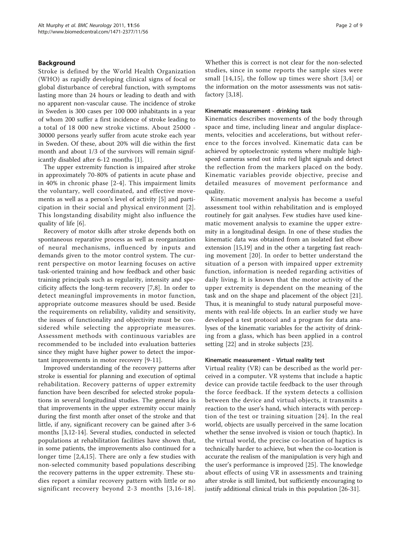# Background

Stroke is defined by the World Health Organization (WHO) as rapidly developing clinical signs of focal or global disturbance of cerebral function, with symptoms lasting more than 24 hours or leading to death and with no apparent non-vascular cause. The incidence of stroke in Sweden is 300 cases per 100 000 inhabitants in a year of whom 200 suffer a first incidence of stroke leading to a total of 18 000 new stroke victims. About 25000 - 30000 persons yearly suffer from acute stroke each year in Sweden. Of these, about 20% will die within the first month and about 1/3 of the survivors will remain significantly disabled after 6-12 months [\[1](#page-6-0)].

The upper extremity function is impaired after stroke in approximately 70-80% of patients in acute phase and in 40% in chronic phase [[2-4\]](#page-6-0). This impairment limits the voluntary, well coordinated, and effective movements as well as a person's level of activity [[5\]](#page-6-0) and participation in their social and physical environment [[2\]](#page-6-0). This longstanding disability might also influence the quality of life [\[6](#page-6-0)].

Recovery of motor skills after stroke depends both on spontaneous reparative process as well as reorganization of neural mechanisms, influenced by inputs and demands given to the motor control system. The current perspective on motor learning focuses on active task-oriented training and how feedback and other basic training principals such as regularity, intensity and specificity affects the long-term recovery [\[7](#page-7-0),[8\]](#page-7-0). In order to detect meaningful improvements in motor function, appropriate outcome measures should be used. Beside the requirements on reliability, validity and sensitivity, the issues of functionality and objectivity must be considered while selecting the appropriate measures. Assessment methods with continuous variables are recommended to be included into evaluation batteries since they might have higher power to detect the important improvements in motor recovery [[9-11](#page-7-0)].

Improved understanding of the recovery patterns after stroke is essential for planning and execution of optimal rehabilitation. Recovery patterns of upper extremity function have been described for selected stroke populations in several longitudinal studies. The general idea is that improvements in the upper extremity occur mainly during the first month after onset of the stroke and that little, if any, significant recovery can be gained after 3-6 months [\[3](#page-6-0),[12-14\]](#page-7-0). Several studies, conducted in selected populations at rehabilitation facilities have shown that, in some patients, the improvements also continued for a longer time [[2,4](#page-6-0),[15\]](#page-7-0). There are only a few studies with non-selected community based populations describing the recovery patterns in the upper extremity. These studies report a similar recovery pattern with little or no significant recovery beyond 2-3 months [[3,](#page-6-0)[16](#page-7-0)-[18\]](#page-7-0). Whether this is correct is not clear for the non-selected studies, since in some reports the sample sizes were small [[14,15\]](#page-7-0), the follow up times were short [[3,4\]](#page-6-0) or the information on the motor assessments was not satisfactory [\[3,](#page-6-0)[18\]](#page-7-0).

#### Kinematic measurement - drinking task

Kinematics describes movements of the body through space and time, including linear and angular displacements, velocities and accelerations, but without reference to the forces involved. Kinematic data can be achieved by optoelectronic systems where multiple highspeed cameras send out infra red light signals and detect the reflection from the markers placed on the body. Kinematic variables provide objective, precise and detailed measures of movement performance and quality.

Kinematic movement analysis has become a useful assessment tool within rehabilitation and is employed routinely for gait analyses. Few studies have used kinematic movement analysis to examine the upper extremity in a longitudinal design. In one of these studies the kinematic data was obtained from an isolated fast elbow extension [[15,19\]](#page-7-0) and in the other a targeting fast reaching movement [[20\]](#page-7-0). In order to better understand the situation of a person with impaired upper extremity function, information is needed regarding activities of daily living. It is known that the motor activity of the upper extremity is dependent on the meaning of the task and on the shape and placement of the object [\[21](#page-7-0)]. Thus, it is meaningful to study natural purposeful movements with real-life objects. In an earlier study we have developed a test protocol and a program for data analyses of the kinematic variables for the activity of drinking from a glass, which has been applied in a control setting [\[22\]](#page-7-0) and in stroke subjects [[23](#page-7-0)].

#### Kinematic measurement - Virtual reality test

Virtual reality (VR) can be described as the world perceived in a computer. VR systems that include a haptic device can provide tactile feedback to the user through the force feedback. If the system detects a collision between the device and virtual objects, it transmits a reaction to the user's hand, which interacts with perception of the test or training situation [[24\]](#page-7-0). In the real world, objects are usually perceived in the same location whether the sense involved is vision or touch (haptic). In the virtual world, the precise co-location of haptics is technically harder to achieve, but when the co-location is accurate the realism of the manipulation is very high and the user's performance is improved [[25\]](#page-7-0). The knowledge about effects of using VR in assessments and training after stroke is still limited, but sufficiently encouraging to justify additional clinical trials in this population [\[26-31](#page-7-0)].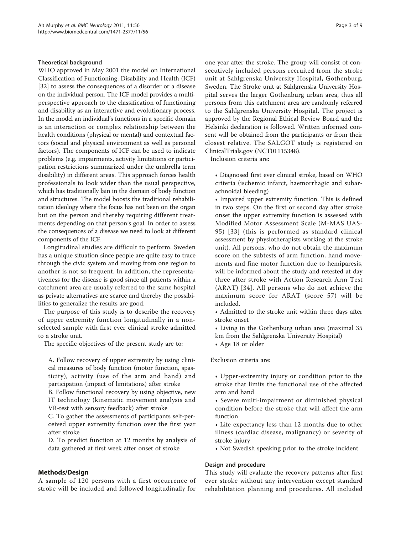#### Theoretical background

WHO approved in May 2001 the model on International Classification of Functioning, Disability and Health (ICF) [[32\]](#page-7-0) to assess the consequences of a disorder or a disease on the individual person. The ICF model provides a multiperspective approach to the classification of functioning and disability as an interactive and evolutionary process. In the model an individual's functions in a specific domain is an interaction or complex relationship between the health conditions (physical or mental) and contextual factors (social and physical environment as well as personal factors). The components of ICF can be used to indicate problems (e.g. impairments, activity limitations or participation restrictions summarized under the umbrella term disability) in different areas. This approach forces health professionals to look wider than the usual perspective, which has traditionally lain in the domain of body function and structures. The model boosts the traditional rehabilitation ideology where the focus has not been on the organ but on the person and thereby requiring different treatments depending on that person's goal. In order to assess the consequences of a disease we need to look at different components of the ICF.

Longitudinal studies are difficult to perform. Sweden has a unique situation since people are quite easy to trace through the civic system and moving from one region to another is not so frequent. In addition, the representativeness for the disease is good since all patients within a catchment area are usually referred to the same hospital as private alternatives are scarce and thereby the possibilities to generalize the results are good.

The purpose of this study is to describe the recovery of upper extremity function longitudinally in a nonselected sample with first ever clinical stroke admitted to a stroke unit.

The specific objectives of the present study are to:

A. Follow recovery of upper extremity by using clinical measures of body function (motor function, spasticity), activity (use of the arm and hand) and participation (impact of limitations) after stroke

B. Follow functional recovery by using objective, new IT technology (kinematic movement analysis and VR-test with sensory feedback) after stroke

C. To gather the assessments of participants self-perceived upper extremity function over the first year after stroke

D. To predict function at 12 months by analysis of data gathered at first week after onset of stroke

# Methods/Design

A sample of 120 persons with a first occurrence of stroke will be included and followed longitudinally for

one year after the stroke. The group will consist of consecutively included persons recruited from the stroke unit at Sahlgrenska University Hospital, Gothenburg, Sweden. The Stroke unit at Sahlgrenska University Hospital serves the larger Gothenburg urban area, thus all persons from this catchment area are randomly referred to the Sahlgrenska University Hospital. The project is approved by the Regional Ethical Review Board and the Helsinki declaration is followed. Written informed consent will be obtained from the participants or from their closest relative. The SALGOT study is registered on ClinicalTrials.gov (NCT01115348).

Inclusion criteria are:

• Diagnosed first ever clinical stroke, based on WHO criteria (ischemic infarct, haemorrhagic and subarachnoidal bleeding)

• Impaired upper extremity function. This is defined in two steps. On the first or second day after stroke onset the upper extremity function is assessed with Modified Motor Assessment Scale (M-MAS UAS-95) [[33\]](#page-7-0) (this is performed as standard clinical assessment by physiotherapists working at the stroke unit). All persons, who do not obtain the maximum score on the subtests of arm function, hand movements and fine motor function due to hemiparesis, will be informed about the study and retested at day three after stroke with Action Research Arm Test (ARAT) [\[34\]](#page-7-0). All persons who do not achieve the maximum score for ARAT (score 57) will be included.

• Admitted to the stroke unit within three days after stroke onset

• Living in the Gothenburg urban area (maximal 35 km from the Sahlgrenska University Hospital)

• Age 18 or older

Exclusion criteria are:

• Upper-extremity injury or condition prior to the stroke that limits the functional use of the affected arm and hand

• Severe multi-impairment or diminished physical condition before the stroke that will affect the arm function

• Life expectancy less than 12 months due to other illness (cardiac disease, malignancy) or severity of stroke injury

• Not Swedish speaking prior to the stroke incident

# Design and procedure

This study will evaluate the recovery patterns after first ever stroke without any intervention except standard rehabilitation planning and procedures. All included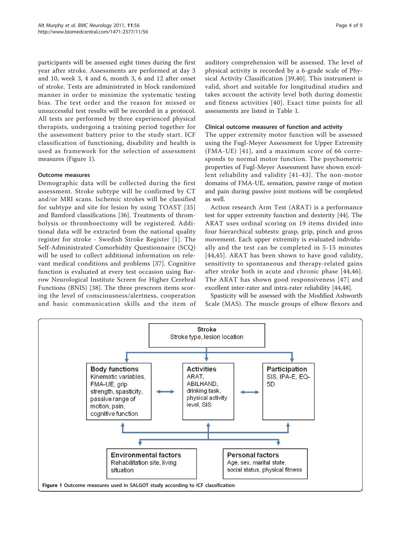participants will be assessed eight times during the first year after stroke. Assessments are performed at day 3 and 10, week 3, 4 and 6, month 3, 6 and 12 after onset of stroke. Tests are administrated in block randomized manner in order to minimize the systematic testing bias. The test order and the reason for missed or unsuccessful test results will be recorded in a protocol. All tests are performed by three experienced physical therapists, undergoing a training period together for the assessment battery prior to the study start. ICF classification of functioning, disability and health is used as framework for the selection of assessment measures (Figure 1).

# Outcome measures

Demographic data will be collected during the first assessment. Stroke subtype will be confirmed by CT and/or MRI scans. Ischemic strokes will be classified for subtype and site for lesion by using TOAST [[35](#page-7-0)] and Bamford classifications [[36\]](#page-7-0). Treatments of thrombolysis or thromboectomy will be registered. Additional data will be extracted from the national quality register for stroke - Swedish Stroke Register [[1](#page-6-0)]. The Self-Administrated Comorbidity Questionnaire (SCQ) will be used to collect additional information on relevant medical conditions and problems [[37](#page-7-0)]. Cognitive function is evaluated at every test occasion using Barrow Neurological Institute Screen for Higher Cerebral Functions (BNIS) [\[38](#page-7-0)]. The three prescreen items scoring the level of consciousness/alertness, cooperation and basic communication skills and the item of auditory comprehension will be assessed. The level of physical activity is recorded by a 6-grade scale of Physical Activity Classification [\[39](#page-7-0),[40\]](#page-7-0). This instrument is valid, short and suitable for longitudinal studies and takes account the activity level both during domestic and fitness activities [[40\]](#page-7-0). Exact time points for all assessments are listed in Table [1.](#page-4-0)

# Clinical outcome measures of function and activity

The upper extremity motor function will be assessed using the Fugl-Meyer Assessment for Upper Extremity (FMA-UE) [[41](#page-7-0)], and a maximum score of 66 corresponds to normal motor function. The psychometric properties of Fugl-Meyer Assessment have shown excellent reliability and validity [[41-43\]](#page-7-0). The non-motor domains of FMA-UE, sensation, passive range of motion and pain during passive joint motions will be completed as well.

Action research Arm Test (ARAT) is a performance test for upper extremity function and dexterity [\[44\]](#page-7-0). The ARAT uses ordinal scoring on 19 items divided into four hierarchical subtests: grasp, grip, pinch and gross movement. Each upper extremity is evaluated individually and the test can be completed in 5-15 minutes [[44,45](#page-7-0)]. ARAT has been shown to have good validity, sensitivity to spontaneous and therapy-related gains after stroke both in acute and chronic phase [[44](#page-7-0),[46\]](#page-7-0). The ARAT has shown good responsiveness [[47\]](#page-7-0) and excellent inter-rater and intra-rater reliability [[44,48](#page-7-0)].

Spasticity will be assessed with the Modified Ashworth Scale (MAS). The muscle groups of elbow flexors and

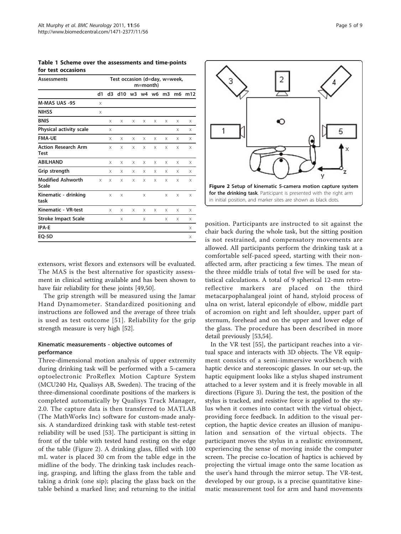<span id="page-4-0"></span>

|                    | Table 1 Scheme over the assessments and time-points |  |
|--------------------|-----------------------------------------------------|--|
| for test occasions |                                                     |  |

| <b>Assessments</b>                 | Test occasion (d=day, w=week,<br>m=month) |    |                 |    |          |       |                |    |          |  |
|------------------------------------|-------------------------------------------|----|-----------------|----|----------|-------|----------------|----|----------|--|
|                                    | d1                                        | d3 | d <sub>10</sub> | w3 |          | w4 w6 | m <sub>3</sub> | m6 | m12      |  |
| M-MAS UAS -95                      | X                                         |    |                 |    |          |       |                |    |          |  |
| <b>NIHSS</b>                       | $\times$                                  |    |                 |    |          |       |                |    |          |  |
| <b>BNIS</b>                        |                                           | X  | X               | X  | X        | X     | X              | X  | X        |  |
| Physical activity scale            |                                           | X  |                 |    |          |       |                | X  | X        |  |
| <b>FMA-UE</b>                      |                                           | X  | X               | X  | X        | X     | X              | X  | X        |  |
| <b>Action Research Arm</b><br>Test |                                           | X  | $\times$        | X  | $\times$ | X     | $\times$       | X  | X        |  |
| <b>ABILHAND</b>                    |                                           | X  | X               | X  | X        | X     | X              | X  | X        |  |
| Grip strength                      |                                           | X  | X               | X  | X        | X     | X              | X  | X        |  |
| <b>Modified Ashworth</b><br>Scale  | $\times$                                  | X  | X               | X  | X        | X     | X              | X  | X        |  |
| Kinematic - drinking<br>task       |                                           | X  | X               |    | X        |       | $\times$       | X  | X        |  |
| Kinematic - VR-test                |                                           | X  | X               | X  | X        | X     | X              | X  | X        |  |
| Stroke Impact Scale                |                                           |    | X               |    | X        |       | X              | X  | X        |  |
| IPA-E                              |                                           |    |                 |    |          |       |                |    | X        |  |
| EQ-5D                              |                                           |    |                 |    |          |       |                |    | $\times$ |  |

extensors, wrist flexors and extensors will be evaluated. The MAS is the best alternative for spasticity assessment in clinical setting available and has been shown to have fair reliability for these joints [[49,50\]](#page-7-0).

The grip strength will be measured using the Jamar Hand Dynamometer. Standardized positioning and instructions are followed and the average of three trials is used as test outcome [[51\]](#page-7-0). Reliability for the grip strength measure is very high [[52](#page-7-0)].

# Kinematic measurements - objective outcomes of performance

Three-dimensional motion analysis of upper extremity during drinking task will be performed with a 5-camera optoelectronic ProReflex Motion Capture System (MCU240 Hz, Qualisys AB, Sweden). The tracing of the three-dimensional coordinate positions of the markers is completed automatically by Qualisys Track Manager, 2.0. The capture data is then transferred to MATLAB (The MathWorks Inc) software for custom-made analysis. A standardized drinking task with stable test-retest reliability will be used [[53\]](#page-7-0). The participant is sitting in front of the table with tested hand resting on the edge of the table (Figure 2). A drinking glass, filled with 100 mL water is placed 30 cm from the table edge in the midline of the body. The drinking task includes reaching, grasping, and lifting the glass from the table and taking a drink (one sip); placing the glass back on the table behind a marked line; and returning to the initial



position. Participants are instructed to sit against the chair back during the whole task, but the sitting position is not restrained, and compensatory movements are allowed. All participants perform the drinking task at a comfortable self-paced speed, starting with their nonaffected arm, after practicing a few times. The mean of the three middle trials of total five will be used for statistical calculations. A total of 9 spherical 12-mm retroreflective markers are placed on the third metacarpophalangeal joint of hand, styloid process of ulna on wrist, lateral epicondyle of elbow, middle part of acromion on right and left shoulder, upper part of sternum, forehead and on the upper and lower edge of the glass. The procedure has been described in more detail previously [[53,](#page-7-0)[54\]](#page-8-0).

In the VR test [[55\]](#page-8-0), the participant reaches into a virtual space and interacts with 3D objects. The VR equipment consists of a semi-immersive workbench with haptic device and stereoscopic glasses. In our set-up, the haptic equipment looks like a stylus shaped instrument attached to a lever system and it is freely movable in all directions (Figure [3](#page-5-0)). During the test, the position of the stylus is tracked, and resistive force is applied to the stylus when it comes into contact with the virtual object, providing force feedback. In addition to the visual perception, the haptic device creates an illusion of manipulation and sensation of the virtual objects. The participant moves the stylus in a realistic environment, experiencing the sense of moving inside the computer screen. The precise co-location of haptics is achieved by projecting the virtual image onto the same location as the user's hand through the mirror setup. The VR-test, developed by our group, is a precise quantitative kinematic measurement tool for arm and hand movements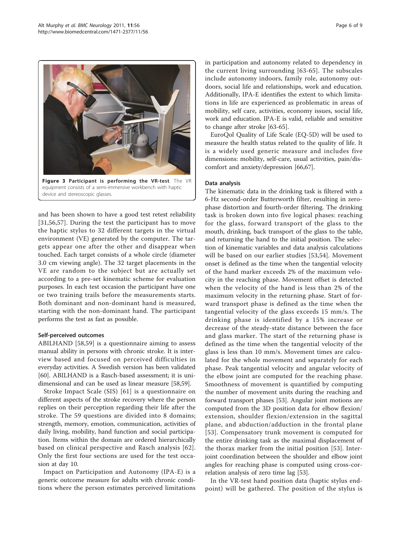<span id="page-5-0"></span>

and has been shown to have a good test retest reliability [[31](#page-7-0)[,56,57\]](#page-8-0). During the test the participant has to move the haptic stylus to 32 different targets in the virtual environment (VE) generated by the computer. The targets appear one after the other and disappear when touched. Each target consists of a whole circle (diameter 3.0 cm viewing angle). The 32 target placements in the VE are random to the subject but are actually set according to a pre-set kinematic scheme for evaluation purposes. In each test occasion the participant have one or two training trails before the measurements starts. Both dominant and non-dominant hand is measured, starting with the non-dominant hand. The participant performs the test as fast as possible.

#### Self-perceived outcomes

ABILHAND [[58,59](#page-8-0)] is a questionnaire aiming to assess manual ability in persons with chronic stroke. It is interview based and focused on perceived difficulties in everyday activities. A Swedish version has been validated [[60\]](#page-8-0). ABILHAND is a Rasch-based assessment; it is unidimensional and can be used as linear measure [\[58,59\]](#page-8-0).

Stroke Impact Scale (SIS) [\[61\]](#page-8-0) is a questionnaire on different aspects of the stroke recovery where the person replies on their perception regarding their life after the stroke. The 59 questions are divided into 8 domains; strength, memory, emotion, communication, activities of daily living, mobility, hand function and social participation. Items within the domain are ordered hierarchically based on clinical perspective and Rasch analysis [[62\]](#page-8-0). Only the first four sections are used for the test occasion at day 10.

Impact on Participation and Autonomy (IPA-E) is a generic outcome measure for adults with chronic conditions where the person estimates perceived limitations in participation and autonomy related to dependency in the current living surrounding [[63](#page-8-0)-[65](#page-8-0)]. The subscales include autonomy indoors, family role, autonomy outdoors, social life and relationships, work and education. Additionally, IPA-E identifies the extent to which limitations in life are experienced as problematic in areas of mobility, self care, activities, economy issues, social life, work and education. IPA-E is valid, reliable and sensitive to change after stroke [[63-65](#page-8-0)].

EuroQol Quality of Life Scale (EQ-5D) will be used to measure the health status related to the quality of life. It is a widely used generic measure and includes five dimensions: mobility, self-care, usual activities, pain/discomfort and anxiety/depression [[66,67](#page-8-0)].

#### Data analysis

The kinematic data in the drinking task is filtered with a 6-Hz second-order Butterworth filter, resulting in zerophase distortion and fourth-order filtering. The drinking task is broken down into five logical phases: reaching for the glass, forward transport of the glass to the mouth, drinking, back transport of the glass to the table, and returning the hand to the initial position. The selection of kinematic variables and data analysis calculations will be based on our earlier studies [[53](#page-7-0)[,54](#page-8-0)]. Movement onset is defined as the time when the tangential velocity of the hand marker exceeds 2% of the maximum velocity in the reaching phase. Movement offset is detected when the velocity of the hand is less than 2% of the maximum velocity in the returning phase. Start of forward transport phase is defined as the time when the tangential velocity of the glass exceeds 15 mm/s. The drinking phase is identified by a 15% increase or decrease of the steady-state distance between the face and glass marker. The start of the returning phase is defined as the time when the tangential velocity of the glass is less than 10 mm/s. Movement times are calculated for the whole movement and separately for each phase. Peak tangential velocity and angular velocity of the elbow joint are computed for the reaching phase. Smoothness of movement is quantified by computing the number of movement units during the reaching and forward transport phases [\[53](#page-7-0)]. Angular joint motions are computed from the 3D position data for elbow flexion/ extension, shoulder flexion/extension in the sagittal plane, and abduction/adduction in the frontal plane [[53](#page-7-0)]. Compensatory trunk movement is computed for the entire drinking task as the maximal displacement of the thorax marker from the initial position [[53](#page-7-0)]. Interjoint coordination between the shoulder and elbow joint angles for reaching phase is computed using cross-correlation analysis of zero time lag [[53\]](#page-7-0).

In the VR-test hand position data (haptic stylus endpoint) will be gathered. The position of the stylus is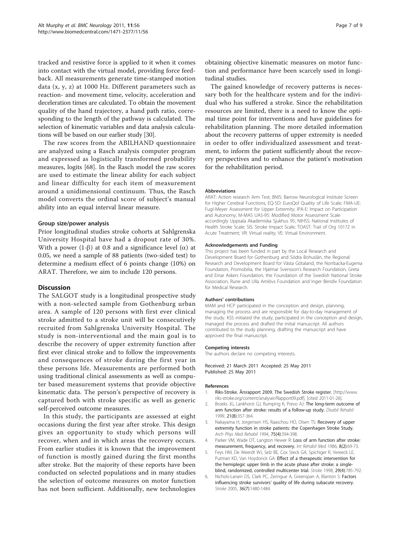<span id="page-6-0"></span>tracked and resistive force is applied to it when it comes into contact with the virtual model, providing force feedback. All measurements generate time-stamped motion data (x, y, z) at 1000 Hz. Different parameters such as reaction- and movement time, velocity, acceleration and deceleration times are calculated. To obtain the movement quality of the hand trajectory, a hand path ratio, corresponding to the length of the pathway is calculated. The selection of kinematic variables and data analysis calculations will be based on our earlier study [[30](#page-7-0)].

The raw scores from the ABILHAND questionnaire are analyzed using a Rasch analysis computer program and expressed as logistically transformed probability measures, logits [\[68](#page-8-0)]. In the Rasch model the raw scores are used to estimate the linear ability for each subject and linear difficulty for each item of measurement around a unidimensional continuum. Thus, the Rasch model converts the ordinal score of subject's manual ability into an equal interval linear measure.

#### Group size/power analysis

Prior longitudinal studies stroke cohorts at Sahlgrenska University Hospital have had a dropout rate of 30%. With a power (1- $\beta$ ) at 0.8 and a significance level ( $\alpha$ ) at 0.05, we need a sample of 88 patients (two-sided test) to determine a medium effect of 6 points change (10%) on ARAT. Therefore, we aim to include 120 persons.

#### **Discussion**

The SALGOT study is a longitudinal prospective study with a non-selected sample from Gothenburg urban area. A sample of 120 persons with first ever clinical stroke admitted to a stroke unit will be consecutively recruited from Sahlgrenska University Hospital. The study is non-interventional and the main goal is to describe the recovery of upper extremity function after first ever clinical stroke and to follow the improvements and consequences of stroke during the first year in these persons life. Measurements are performed both using traditional clinical assessments as well as computer based measurement systems that provide objective kinematic data. The person's perspective of recovery is captured both with stroke specific as well as generic self-perceived outcome measures.

In this study, the participants are assessed at eight occasions during the first year after stroke. This design gives an opportunity to study which persons will recover, when and in which areas the recovery occurs. From earlier studies it is known that the improvement of function is mostly gained during the first months after stroke. But the majority of these reports have been conducted on selected populations and in many studies the selection of outcome measures on motor function has not been sufficient. Additionally, new technologies obtaining objective kinematic measures on motor function and performance have been scarcely used in longitudinal studies.

The gained knowledge of recovery patterns is necessary both for the healthcare system and for the individual who has suffered a stroke. Since the rehabilitation resources are limited, there is a need to know the optimal time point for interventions and have guidelines for rehabilitation planning. The more detailed information about the recovery patterns of upper extremity is needed in order to offer individualized assessment and treatment, to inform the patient sufficiently about the recovery perspectives and to enhance the patient's motivation for the rehabilitation period.

#### Abbreviations

ARAT: Action research Arm Test; BNIS: Barrow Neurological Institute Screen for Higher Cerebral Functions; EQ-5D: EuroQol Quality of Life Scale; FMA-UE: Fugl-Meyer Assessment for Upper Extremity; IPA-E: Impact on Participation and Autonomy; M-MAS UAS-95: Modified Motor Assessment Scale accordingly Uppsala Akademiska Sjukhus 95; NIHSS: National Institutes of Health Stroke Scale; SIS: Stroke Impact Scale; TOAST: Trail of Org 10172 in Acute Treatment; VR: Virtual reality; VE: Virtual Environment.

#### Acknowledgements and Funding

This project has been funded in part by the Local Research and Development Board for Gothenburg and Södra Bohuslän, the Regional Research and Development Board for Västa Götaland, the Norrbacka-Eugenia Foundation, Promobilia, the Hjalmar Svensson's Research Foundation, Greta and Einar Askers Foundation, the Foundation of the Swedish National Stroke Association, Rune and Ulla Amlövs Foundation and Inger Bendix Foundation for Medical Research.

#### Authors' contributions

MAM and HCP participated in the conception and design, planning, managing the process and are responsible for day-to-day management of the study. KSS initiated the study, participated in the conception and design, managed the process and drafted the initial manuscript. All authors contributed to the study planning, drafting the manuscript and have approved the final manuscript.

#### Competing interests

The authors declare no competing interests.

Received: 21 March 2011 Accepted: 25 May 2011 Published: 25 May 2011

#### References

- 1. Riks-Stroke. Årsrapport 2009. The Swedish Stroke register. [\[http://www.](http://www.riks-stroke.org/content/analyser/Rapport09.pdf) [riks-stroke.org/content/analyser/Rapport09.pdf\]](http://www.riks-stroke.org/content/analyser/Rapport09.pdf), [cited 2011-01-26].
- Broeks JG, Lankhorst GJ, Rumping K, Prevo AJ: [The long-term outcome of](http://www.ncbi.nlm.nih.gov/pubmed/10503976?dopt=Abstract) [arm function after stroke: results of a follow-up study.](http://www.ncbi.nlm.nih.gov/pubmed/10503976?dopt=Abstract) Disabil Rehabil 1999, 21(8):357-364.
- 3. Nakayama H, Jorgensen HS, Raaschou HO, Olsen TS: [Recovery of upper](http://www.ncbi.nlm.nih.gov/pubmed/8172497?dopt=Abstract) [extremity function in stroke patients: the Copenhagen Stroke Study.](http://www.ncbi.nlm.nih.gov/pubmed/8172497?dopt=Abstract) Arch Phys Med Rehabil 1994, 75(4):394-398.
- 4. Parker VM, Wade DT, Langton Hewer R: [Loss of arm function after stroke:](http://www.ncbi.nlm.nih.gov/pubmed/3804600?dopt=Abstract) [measurement, frequency, and recovery.](http://www.ncbi.nlm.nih.gov/pubmed/3804600?dopt=Abstract) Int Rehabil Med 1986, 8(2):69-73.
- 5. Feys HM, De Weerdt WJ, Selz BE, Cox Steck GA, Spichiger R, Vereeck LE, Putman KD, Van Hoydonck GA: [Effect of a therapeutic intervention for](http://www.ncbi.nlm.nih.gov/pubmed/9550512?dopt=Abstract) [the hemiplegic upper limb in the acute phase after stroke: a single](http://www.ncbi.nlm.nih.gov/pubmed/9550512?dopt=Abstract)[blind, randomized, controlled multicenter trial.](http://www.ncbi.nlm.nih.gov/pubmed/9550512?dopt=Abstract) Stroke 1998, 29(4):785-792.
- 6. Nichols-Larsen DS, Clark PC, Zeringue A, Greenspan A, Blanton S: [Factors](http://www.ncbi.nlm.nih.gov/pubmed/15947263?dopt=Abstract) influencing stroke survivors' [quality of life during subacute recovery.](http://www.ncbi.nlm.nih.gov/pubmed/15947263?dopt=Abstract) Stroke 2005, 36(7):1480-1484.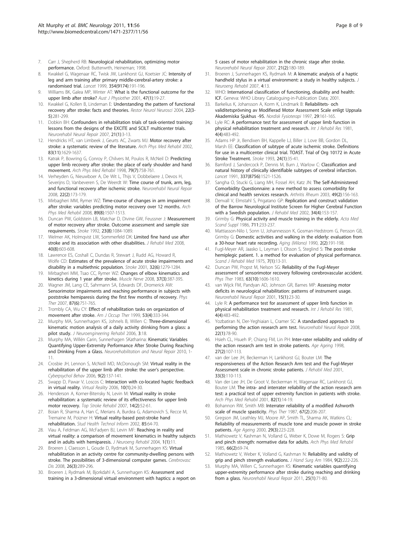- <span id="page-7-0"></span>7. Carr J, Shepherd RB: Neurological rehabilitation, optimizing motor performance. Oxford: Butterwrth, Heineman; 1998.
- Kwakkel G, Wagenaar RC, Twisk JW, Lankhorst GJ, Koetsier JC: [Intensity of](http://www.ncbi.nlm.nih.gov/pubmed/10421300?dopt=Abstract) [leg and arm training after primary middle-cerebral-artery stroke: a](http://www.ncbi.nlm.nih.gov/pubmed/10421300?dopt=Abstract) [randomised trial.](http://www.ncbi.nlm.nih.gov/pubmed/10421300?dopt=Abstract) Lancet 1999, 354(9174):191-196.
- 9. Williams BK, Galea MP, Winter AT: [What is the functional outcome for the](http://www.ncbi.nlm.nih.gov/pubmed/11552859?dopt=Abstract) [upper limb after stroke?](http://www.ncbi.nlm.nih.gov/pubmed/11552859?dopt=Abstract) Aust J Physiother 2001, 47(1):19-27.
- 10. Kwakkel G, Kollen B, Lindeman E: [Understanding the pattern of functional](http://www.ncbi.nlm.nih.gov/pubmed/15502272?dopt=Abstract) [recovery after stroke: facts and theories.](http://www.ncbi.nlm.nih.gov/pubmed/15502272?dopt=Abstract) Restor Neurol Neurosci 2004, 22(3-5):281-299.
- 11. Dobkin BH: [Confounders in rehabilitation trials of task-oriented training:](http://www.ncbi.nlm.nih.gov/pubmed/17172549?dopt=Abstract) [lessons from the designs of the EXCITE and SCILT multicenter trials.](http://www.ncbi.nlm.nih.gov/pubmed/17172549?dopt=Abstract) Neurorehabil Neural Repair 2007, 21(1):3-13.
- 12. Hendricks HT, van Limbeek J, Geurts AC, Zwarts MJ: [Motor recovery after](http://www.ncbi.nlm.nih.gov/pubmed/12422337?dopt=Abstract) [stroke: a systematic review of the literature.](http://www.ncbi.nlm.nih.gov/pubmed/12422337?dopt=Abstract) Arch Phys Med Rehabil 2002, 83(11):1629-1637.
- 13. Katrak P, Bowring G, Conroy P, Chilvers M, Poulos R, McNeil D: [Predicting](http://www.ncbi.nlm.nih.gov/pubmed/9685087?dopt=Abstract) [upper limb recovery after stroke: the place of early shoulder and hand](http://www.ncbi.nlm.nih.gov/pubmed/9685087?dopt=Abstract) [movement.](http://www.ncbi.nlm.nih.gov/pubmed/9685087?dopt=Abstract) Arch Phys Med Rehabil 1998, 79(7):758-761.
- 14. Verheyden G, Nieuwboer A, De Wit L, Thijs V, Dobbelaere J, Devos H, Severijns D, Vanbeveren S, De Weerdt W: [Time course of trunk, arm, leg,](http://www.ncbi.nlm.nih.gov/pubmed/17876069?dopt=Abstract) [and functional recovery after ischemic stroke.](http://www.ncbi.nlm.nih.gov/pubmed/17876069?dopt=Abstract) Neurorehabil Neural Repair 2008, 22(2):173-179.
- 15. Mirbagheri MM, Rymer WZ: [Time-course of changes in arm impairment](http://www.ncbi.nlm.nih.gov/pubmed/18586221?dopt=Abstract) [after stroke: variables predicting motor recovery over 12 months.](http://www.ncbi.nlm.nih.gov/pubmed/18586221?dopt=Abstract) Arch Phys Med Rehabil 2008, 89(8):1507-1513.
- 16. Duncan PW, Goldstein LB, Matchar D, Divine GW, Feussner J: [Measurement](http://www.ncbi.nlm.nih.gov/pubmed/1636182?dopt=Abstract) [of motor recovery after stroke. Outcome assessment and sample size](http://www.ncbi.nlm.nih.gov/pubmed/1636182?dopt=Abstract) [requirements.](http://www.ncbi.nlm.nih.gov/pubmed/1636182?dopt=Abstract) Stroke 1992, 23(8):1084-1089.
- 17. Welmer AK, Holmqvist LW, Sommerfeld DK: [Limited fine hand use after](http://www.ncbi.nlm.nih.gov/pubmed/19020692?dopt=Abstract) [stroke and its association with other disabilities.](http://www.ncbi.nlm.nih.gov/pubmed/19020692?dopt=Abstract) J Rehabil Med 2008, 40(8):603-608.
- 18. Lawrence ES, Coshall C, Dundas R, Stewart J, Rudd AG, Howard R, Wolfe CD: [Estimates of the prevalence of acute stroke impairments and](http://www.ncbi.nlm.nih.gov/pubmed/11387487?dopt=Abstract) [disability in a multiethnic population.](http://www.ncbi.nlm.nih.gov/pubmed/11387487?dopt=Abstract) Stroke 2001, 32(6):1279-1284.
- 19. Mirbagheri MM, Tsao CC, Rymer WZ: [Changes of elbow kinematics and](http://www.ncbi.nlm.nih.gov/pubmed/18236457?dopt=Abstract) [kinetics during 1 year after stroke.](http://www.ncbi.nlm.nih.gov/pubmed/18236457?dopt=Abstract) Muscle Nerve 2008, 37(3):387-395.
- 20. Wagner JM, Lang CE, Sahrmann SA, Edwards DF, Dromerick AW: [Sensorimotor impairments and reaching performance in subjects with](http://www.ncbi.nlm.nih.gov/pubmed/17442839?dopt=Abstract) [poststroke hemiparesis during the first few months of recovery.](http://www.ncbi.nlm.nih.gov/pubmed/17442839?dopt=Abstract) Phys Ther 2007, 87(6):751-765.
- 21. Trombly CA, Wu CY: [Effect of rehabilitation tasks on organization of](http://www.ncbi.nlm.nih.gov/pubmed/10427675?dopt=Abstract) movement [after stroke.](http://www.ncbi.nlm.nih.gov/pubmed/10427675?dopt=Abstract) Am J Occup Ther 1999, 53(4):333-344.
- 22. Murphy MA, Sunnerhagen KS, Johnels B, Willen C: Three-dimensional kinematic motion analysis of a daily activity drinking from a glass: a pilot study. J Neuroengineering Rehabil 2006, 3:18.
- 23. Murphy MA, Willén Carin, Sunnerhagen SKatharina: Kinematic Variables Quantifying Upper-Extremity Performance After Stroke During Reaching and Drinking From a Glass. Neurorehabilitation and Neural Repair 2010, 1-11.
- 24. Crosbie JH, Lennon S, McNeill MD, McDonough SM: [Virtual reality in the](http://www.ncbi.nlm.nih.gov/pubmed/16640466?dopt=Abstract) [rehabilitation of the upper limb after stroke: the user](http://www.ncbi.nlm.nih.gov/pubmed/16640466?dopt=Abstract)'s perspective. Cyberpsychol Behav 2006, 9(2):137-141.
- 25. Swapp D, Pawar V, Loscos C: Interaction with co-located haptic feedback in virtual reality. Virtual Reality 2006, 10(1):24-30.
- 26. Henderson A, Korner-Bitensky N, Levin M: [Virtual reality in stroke](http://www.ncbi.nlm.nih.gov/pubmed/17573312?dopt=Abstract) [rehabilitation: a systematic review of its effectiveness for upper limb](http://www.ncbi.nlm.nih.gov/pubmed/17573312?dopt=Abstract) [motor recovery.](http://www.ncbi.nlm.nih.gov/pubmed/17573312?dopt=Abstract) Top Stroke Rehabil 2007, 14(2):52-61.
- 27. Boian R, Sharma A, Han C, Merians A, Burdea G, Adamovich S, Recce M, Tremaine M, Poizner H: [Virtual reality-based post-stroke hand](http://www.ncbi.nlm.nih.gov/pubmed/15458061?dopt=Abstract) [rehabilitation.](http://www.ncbi.nlm.nih.gov/pubmed/15458061?dopt=Abstract) Stud Health Technol Inform 2002, 85:64-70.
- 28. Viau A, Feldman AG, McFadyen BJ, Levin MF: [Reaching in reality and](http://www.ncbi.nlm.nih.gov/pubmed/15679937?dopt=Abstract) [virtual reality: a comparison of movement kinematics in healthy subjects](http://www.ncbi.nlm.nih.gov/pubmed/15679937?dopt=Abstract) [and in adults with hemiparesis.](http://www.ncbi.nlm.nih.gov/pubmed/15679937?dopt=Abstract) J Neuroeng Rehabil 2004, 1(1):11
- 29. Broeren J, Claesson L, Goude D, Rydmark M, Sunnerhagen KS: [Virtual](http://www.ncbi.nlm.nih.gov/pubmed/18667809?dopt=Abstract) [rehabilitation in an activity centre for community-dwelling persons with](http://www.ncbi.nlm.nih.gov/pubmed/18667809?dopt=Abstract) [stroke. The possibilities of 3-dimensional computer games.](http://www.ncbi.nlm.nih.gov/pubmed/18667809?dopt=Abstract) Cerebrovasc Dis 2008, 26(3):289-296.
- 30. Broeren J, Rydmark M, Bjorkdahl A, Sunnerhagen KS: [Assessment and](http://www.ncbi.nlm.nih.gov/pubmed/17312093?dopt=Abstract) [training in a 3-dimensional virtual environment with haptics: a report on](http://www.ncbi.nlm.nih.gov/pubmed/17312093?dopt=Abstract)

[5 cases of motor rehabilitation in the chronic stage after stroke.](http://www.ncbi.nlm.nih.gov/pubmed/17312093?dopt=Abstract) Neurorehabil Neural Repair 2007, 21(2):180-189.

- 31. Broeren J, Sunnerhagen KS, Rydmark M: [A kinematic analysis of a haptic](http://www.ncbi.nlm.nih.gov/pubmed/17490470?dopt=Abstract) [handheld stylus in a virtual environment: a study in healthy subjects.](http://www.ncbi.nlm.nih.gov/pubmed/17490470?dopt=Abstract) J Neuroeng Rehabil 2007, 4:13.
- 32. WHO: International classification of functioning, disability and health: ICF. Geneva: WHO Library Cataloguing-in-Publication Data; 2001.
- 33. Barkelius K, Johansson A, Korm K, Lindmark B: Reliabilitets- och validitetsprövning av Modifierad Motor Assessment Scale enligt Uppsala Akademiska Sjukhus -95. Nordisk Fysioterapi 1997, 29:161-165.
- 34. Lyle RC: [A performance test for assessment of upper limb function in](http://www.ncbi.nlm.nih.gov/pubmed/7333761?dopt=Abstract) [physical rehabilitation treatment and research.](http://www.ncbi.nlm.nih.gov/pubmed/7333761?dopt=Abstract) Int J Rehabil Res 1981, 4(4):483-492.
- 35. Adams HP Jr, Bendixen BH, Kappelle LJ, Biller J, Love BB, Gordon DL, Marsh EE: [Classification of subtype of acute ischemic stroke. Definitions](http://www.ncbi.nlm.nih.gov/pubmed/7678184?dopt=Abstract) [for use in a multicenter clinical trial. TOAST. Trial of Org 10172 in Acute](http://www.ncbi.nlm.nih.gov/pubmed/7678184?dopt=Abstract) [Stroke Treatment.](http://www.ncbi.nlm.nih.gov/pubmed/7678184?dopt=Abstract) Stroke 1993, 24(1):35-41.
- 36. Bamford J, Sandercock P, Dennis M, Burn J, Warlow C: [Classification and](http://www.ncbi.nlm.nih.gov/pubmed/1675378?dopt=Abstract) [natural history of clinically identifiable subtypes of cerebral infarction.](http://www.ncbi.nlm.nih.gov/pubmed/1675378?dopt=Abstract) Lancet 1991, 337(8756):1521-1526.
- 37. Sangha O, Stucki G, Liang MH, Fossel AH, Katz JN: [The Self-Administered](http://www.ncbi.nlm.nih.gov/pubmed/12687505?dopt=Abstract) [Comorbidity Questionnaire: a new method to assess comorbidity for](http://www.ncbi.nlm.nih.gov/pubmed/12687505?dopt=Abstract) [clinical and health services research.](http://www.ncbi.nlm.nih.gov/pubmed/12687505?dopt=Abstract) Arthritis Rheum 2003, 49(2):156-163.
- 38. Denvall V, Elmstahl S, Prigatano GP: [Replication and construct validation](http://www.ncbi.nlm.nih.gov/pubmed/12201609?dopt=Abstract) [of the Barrow Neurological Institute Screen for Higher Cerebral Function](http://www.ncbi.nlm.nih.gov/pubmed/12201609?dopt=Abstract) [with a Swedish population.](http://www.ncbi.nlm.nih.gov/pubmed/12201609?dopt=Abstract) J Rehabil Med 2002, 34(4):153-157.
- 39. Grimby G: [Physical activity and muscle training in the elderly.](http://www.ncbi.nlm.nih.gov/pubmed/3535411?dopt=Abstract) Acta Med Scand Suppl 1986, 711:233-237.
- 40. Mattiasson-Nilo I, Sonn U, Johannesson K, Gosman-Hedstrom G, Persson GB, Grimby G: Domestic activities and walking in the elderly: evaluation from a 30-hour heart rate recording. Aging (Milano) 1990, 2(2):191-198.
- 41. Fugl-Meyer AR, Jaasko L, Leyman I, Olsson S, Steglind S: [The post-stroke](http://www.ncbi.nlm.nih.gov/pubmed/1135616?dopt=Abstract) [hemiplegic patient. 1. a method for evaluation of physical performance.](http://www.ncbi.nlm.nih.gov/pubmed/1135616?dopt=Abstract) Scand J Rehabil Med 1975, 7(1):13-31.
- 42. Duncan PW, Propst M, Nelson SG: [Reliability of the Fugl-Meyer](http://www.ncbi.nlm.nih.gov/pubmed/6622535?dopt=Abstract) [assessment of sensorimotor recovery following cerebrovascular accident.](http://www.ncbi.nlm.nih.gov/pubmed/6622535?dopt=Abstract) Phys Ther 1983, 63(10):1606-1610.
- 43. van Wijck FM, Pandyan AD, Johnson GR, Barnes MP: [Assessing motor](http://www.ncbi.nlm.nih.gov/pubmed/11527276?dopt=Abstract) [deficits in neurological rehabilitation: patterns of instrument usage.](http://www.ncbi.nlm.nih.gov/pubmed/11527276?dopt=Abstract) Neurorehabil Neural Repair 2001, 15(1):23-30.
- 44. Lyle R: [A performance test for assessment of upper limb function in](http://www.ncbi.nlm.nih.gov/pubmed/7333761?dopt=Abstract) [physical rehabilitation treatment and research.](http://www.ncbi.nlm.nih.gov/pubmed/7333761?dopt=Abstract) Int J Rehabil Res 1981, 4(4):483-492.
- 45. Yozbatiran N, Der-Yeghiaian L, Cramer SC: [A standardized approach to](http://www.ncbi.nlm.nih.gov/pubmed/17704352?dopt=Abstract) [performing the action research arm test.](http://www.ncbi.nlm.nih.gov/pubmed/17704352?dopt=Abstract) Neurorehabil Neural Repair 2008, 22(1):78-90.
- 46. Hsieh CL, Hsueh IP, Chiang FM, Lin PH: [Inter-rater reliability and validity of](http://www.ncbi.nlm.nih.gov/pubmed/16296669?dopt=Abstract) [the action research arm test in stroke patients.](http://www.ncbi.nlm.nih.gov/pubmed/16296669?dopt=Abstract) Age Ageing 1998, 27(2):107-113.
- 47. van der Lee JH, Beckerman H, Lankhorst GJ, Bouter LM: [The](http://www.ncbi.nlm.nih.gov/pubmed/11482350?dopt=Abstract) [responsiveness of the Action Research Arm test and the Fugl-Meyer](http://www.ncbi.nlm.nih.gov/pubmed/11482350?dopt=Abstract) [Assessment scale in chronic stroke patients.](http://www.ncbi.nlm.nih.gov/pubmed/11482350?dopt=Abstract) J Rehabil Med 2001, 33(3):110-113.
- 48. Van der Lee JH, De Groot V, Beckerman H, Wagenaar RC, Lankhorst GJ, Bouter LM: [The intra- and interrater reliability of the action research arm](http://www.ncbi.nlm.nih.gov/pubmed/11239280?dopt=Abstract) [test: a practical test of upper extremity function in patients with stroke.](http://www.ncbi.nlm.nih.gov/pubmed/11239280?dopt=Abstract) Arch Phys Med Rehabil 2001, 82(1):14-19.
- 49. Bohannon RW, Smith MB: [Interrater reliability of a modified Ashworth](http://www.ncbi.nlm.nih.gov/pubmed/3809245?dopt=Abstract) [scale of muscle spasticity.](http://www.ncbi.nlm.nih.gov/pubmed/3809245?dopt=Abstract) Phys Ther 1987, 67(2):206-207.
- 50. Gregson JM, Leathley MJ, Moore AP, Smith TL, Sharma AK, Watkins CL: [Reliability of measurements of muscle tone and muscle power in stroke](http://www.ncbi.nlm.nih.gov/pubmed/10855904?dopt=Abstract) [patients.](http://www.ncbi.nlm.nih.gov/pubmed/10855904?dopt=Abstract) Age Ageing 2000, 29(3):223-228.
- 51. Mathiowetz V, Kashman N, Volland G, Weber K, Dowe M, Rogers S: [Grip](http://www.ncbi.nlm.nih.gov/pubmed/3970660?dopt=Abstract) [and pinch strength: normative data for adults.](http://www.ncbi.nlm.nih.gov/pubmed/3970660?dopt=Abstract) Arch Phys Med Rehabil 1985, 66(2):69-74.
- 52. Mathiowetz V, Weber K, Volland G, Kashman N: [Reliability and validity of](http://www.ncbi.nlm.nih.gov/pubmed/6715829?dopt=Abstract) [grip and pinch strength evaluations.](http://www.ncbi.nlm.nih.gov/pubmed/6715829?dopt=Abstract) J Hand Surg Am 1984, 9(2):222-226.
- Murphy MA, Willen C, Sunnerhagen KS: [Kinematic variables quantifying](http://www.ncbi.nlm.nih.gov/pubmed/20829411?dopt=Abstract) [upper-extremity performance after stroke during reaching and drinking](http://www.ncbi.nlm.nih.gov/pubmed/20829411?dopt=Abstract) [from a glass.](http://www.ncbi.nlm.nih.gov/pubmed/20829411?dopt=Abstract) Neurorehabil Neural Repair 2011, 25(1):71-80.